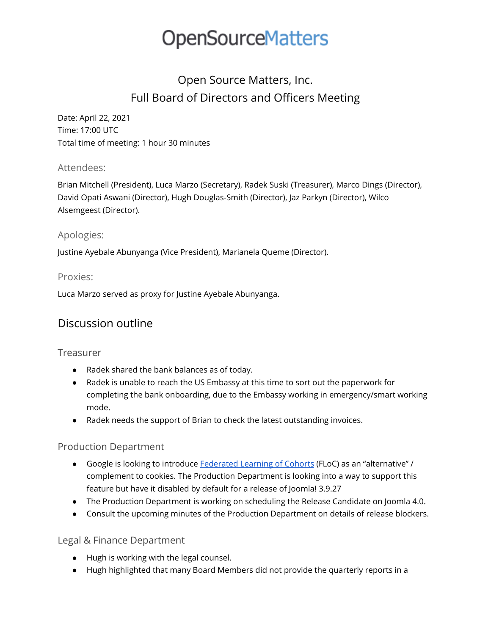## **OpenSourceMatters**

### Open Source Matters, Inc. Full Board of Directors and Officers Meeting

Date: April 22, 2021 Time: 17:00 UTC Total time of meeting: 1 hour 30 minutes

#### Attendees:

Brian Mitchell (President), Luca Marzo (Secretary), Radek Suski (Treasurer), Marco Dings (Director), David Opati Aswani (Director), Hugh Douglas-Smith (Director), Jaz Parkyn (Director), Wilco Alsemgeest (Director).

#### Apologies:

Justine Ayebale Abunyanga (Vice President), Marianela Queme (Director).

#### Proxies:

Luca Marzo served as proxy for Justine Ayebale Abunyanga.

### Discussion outline

#### Treasurer

- Radek shared the bank balances as of today.
- Radek is unable to reach the US Embassy at this time to sort out the paperwork for completing the bank onboarding, due to the Embassy working in emergency/smart working mode.
- Radek needs the support of Brian to check the latest outstanding invoices.

#### Production Department

- Google is looking to introduce [Federated](https://github.com/WICG/floc) Learning of Cohorts (FLoC) as an "alternative" / complement to cookies. The Production Department is looking into a way to support this feature but have it disabled by default for a release of Joomla! 3.9.27
- The Production Department is working on scheduling the Release Candidate on Joomla 4.0.
- Consult the upcoming minutes of the Production Department on details of release blockers.

#### Legal & Finance Department

- Hugh is working with the legal counsel.
- Hugh highlighted that many Board Members did not provide the quarterly reports in a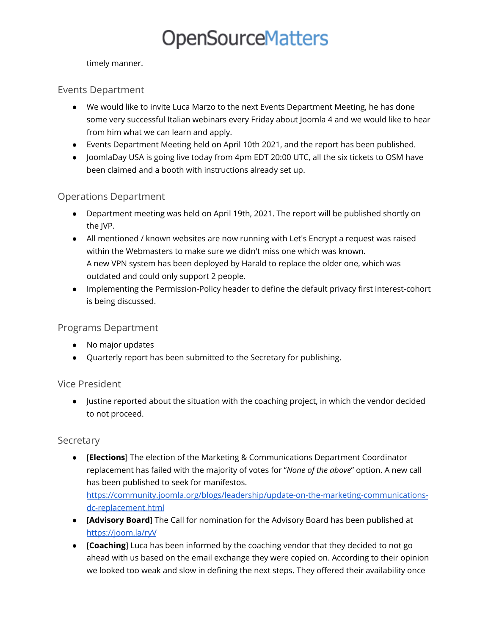# **OpenSourceMatters**

timely manner.

#### Events Department

- We would like to invite Luca Marzo to the next Events Department Meeting, he has done some very successful Italian webinars every Friday about Joomla 4 and we would like to hear from him what we can learn and apply.
- Events Department Meeting held on April 10th 2021, and the report has been published.
- JoomlaDay USA is going live today from 4pm EDT 20:00 UTC, all the six tickets to OSM have been claimed and a booth with instructions already set up.

#### Operations Department

- Department meeting was held on April 19th, 2021. The report will be published shortly on the JVP.
- All mentioned / known websites are now running with Let's Encrypt a request was raised within the Webmasters to make sure we didn't miss one which was known. A new VPN system has been deployed by Harald to replace the older one, which was outdated and could only support 2 people.
- Implementing the Permission-Policy header to define the default privacy first interest-cohort is being discussed.

#### Programs Department

- No major updates
- Quarterly report has been submitted to the Secretary for publishing.

#### Vice President

● Justine reported about the situation with the coaching project, in which the vendor decided to not proceed.

#### Secretary

- [**Elections**] The election of the Marketing & Communications Department Coordinator replacement has failed with the majority of votes for "*None of the above*" option. A new call has been published to seek for manifestos. [https://community.joomla.org/blogs/leadership/update-on-the-marketing-communications](https://community.joomla.org/blogs/leadership/update-on-the-marketing-communications-dc-replacement.html)[dc-replacement.html](https://community.joomla.org/blogs/leadership/update-on-the-marketing-communications-dc-replacement.html)
- [**Advisory Board**] The Call for nomination for the Advisory Board has been published at <https://joom.la/ryV>
- [**Coaching**] Luca has been informed by the coaching vendor that they decided to not go ahead with us based on the email exchange they were copied on. According to their opinion we looked too weak and slow in defining the next steps. They offered their availability once